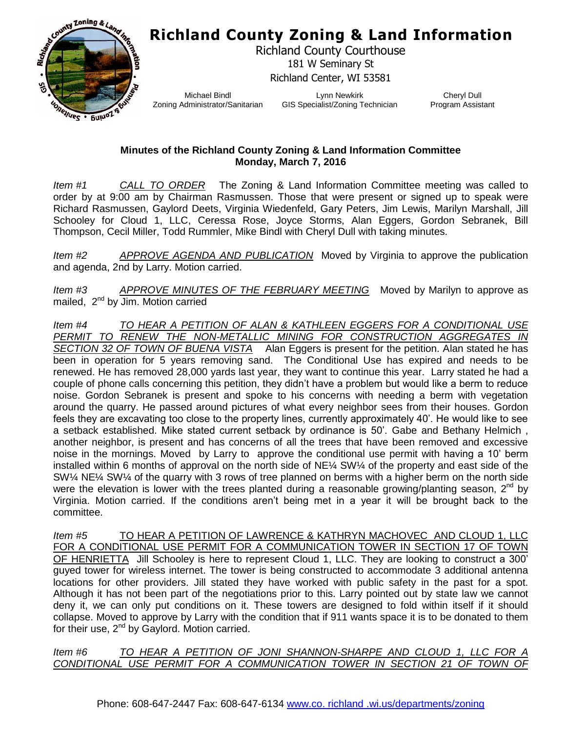## **Richland County Zoning & Land Information**



Richland County Courthouse 181 W Seminary St Richland Center, WI 53581

Michael Bindl Zoning Administrator/Sanitarian

Lynn Newkirk GIS Specialist/Zoning Technician

Cheryl Dull Program Assistant

## **Minutes of the Richland County Zoning & Land Information Committee Monday, March 7, 2016**

*Item #1 CALL TO ORDER* The Zoning & Land Information Committee meeting was called to order by at 9:00 am by Chairman Rasmussen. Those that were present or signed up to speak were Richard Rasmussen, Gaylord Deets, Virginia Wiedenfeld, Gary Peters, Jim Lewis, Marilyn Marshall, Jill Schooley for Cloud 1, LLC, Ceressa Rose, Joyce Storms, Alan Eggers, Gordon Sebranek, Bill Thompson, Cecil Miller, Todd Rummler, Mike Bindl with Cheryl Dull with taking minutes.

*Item #2 APPROVE AGENDA AND PUBLICATION* Moved by Virginia to approve the publication and agenda, 2nd by Larry. Motion carried.

*Item #3 APPROVE MINUTES OF THE FEBRUARY MEETING* Moved by Marilyn to approve as mailed, 2<sup>nd</sup> by Jim. Motion carried

*Item #4 TO HEAR A PETITION OF ALAN & KATHLEEN EGGERS FOR A CONDITIONAL USE*  PERMIT TO RENEW THE NON-METALLIC MINING FOR CONSTRUCTION AGGREGATES IN *SECTION 32 OF TOWN OF BUENA VISTA* Alan Eggers is present for the petition. Alan stated he has been in operation for 5 years removing sand. The Conditional Use has expired and needs to be renewed. He has removed 28,000 yards last year, they want to continue this year. Larry stated he had a couple of phone calls concerning this petition, they didn't have a problem but would like a berm to reduce noise. Gordon Sebranek is present and spoke to his concerns with needing a berm with vegetation around the quarry. He passed around pictures of what every neighbor sees from their houses. Gordon feels they are excavating too close to the property lines, currently approximately 40'. He would like to see a setback established. Mike stated current setback by ordinance is 50'. Gabe and Bethany Helmich , another neighbor, is present and has concerns of all the trees that have been removed and excessive noise in the mornings. Moved by Larry to approve the conditional use permit with having a 10' berm installed within 6 months of approval on the north side of NE¼ SW¼ of the property and east side of the SW¼ NE¼ SW¼ of the quarry with 3 rows of tree planned on berms with a higher berm on the north side were the elevation is lower with the trees planted during a reasonable growing/planting season, 2<sup>nd</sup> by Virginia. Motion carried. If the conditions aren't being met in a year it will be brought back to the committee.

*Item #5* TO HEAR A PETITION OF LAWRENCE & KATHRYN MACHOVEC AND CLOUD 1, LLC FOR A CONDITIONAL USE PERMIT FOR A COMMUNICATION TOWER IN SECTION 17 OF TOWN OF HENRIETTA Jill Schooley is here to represent Cloud 1, LLC. They are looking to construct a 300' guyed tower for wireless internet. The tower is being constructed to accommodate 3 additional antenna locations for other providers. Jill stated they have worked with public safety in the past for a spot. Although it has not been part of the negotiations prior to this. Larry pointed out by state law we cannot deny it, we can only put conditions on it. These towers are designed to fold within itself if it should collapse. Moved to approve by Larry with the condition that if 911 wants space it is to be donated to them for their use, 2<sup>nd</sup> by Gaylord. Motion carried.

*Item #6 TO HEAR A PETITION OF JONI SHANNON-SHARPE AND CLOUD 1, LLC FOR A*  **CONDITIONAL USE PERMIT FOR A COMMUNICATION TOWER IN SECTION 21 OF TOWN**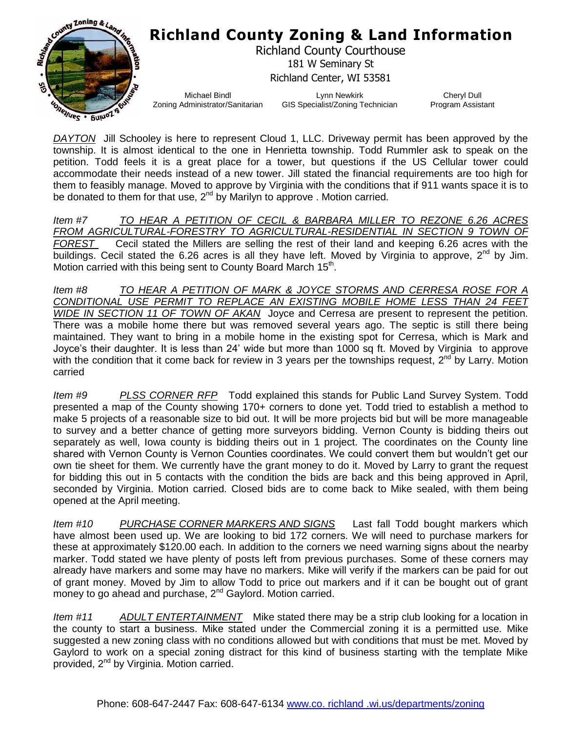

*DAYTON* Jill Schooley is here to represent Cloud 1, LLC. Driveway permit has been approved by the township. It is almost identical to the one in Henrietta township. Todd Rummler ask to speak on the petition. Todd feels it is a great place for a tower, but questions if the US Cellular tower could accommodate their needs instead of a new tower. Jill stated the financial requirements are too high for them to feasibly manage. Moved to approve by Virginia with the conditions that if 911 wants space it is to be donated to them for that use,  $2^{nd}$  by Marilyn to approve. Motion carried.

*Item #7 TO HEAR A PETITION OF CECIL & BARBARA MILLER TO REZONE 6.26 ACRES*  FROM AGRICULTURAL-FORESTRY TO AGRICULTURAL-RESIDENTIAL IN SECTION 9 TOWN OF *FOREST* Cecil stated the Millers are selling the rest of their land and keeping 6.26 acres with the buildings. Cecil stated the 6.26 acres is all they have left. Moved by Virginia to approve, 2<sup>nd</sup> by Jim. Motion carried with this being sent to County Board March 15<sup>th</sup>.

*Item #8 TO HEAR A PETITION OF MARK & JOYCE STORMS AND CERRESA ROSE FOR A CONDITIONAL USE PERMIT TO REPLACE AN EXISTING MOBILE HOME LESS THAN 24 FEET WIDE IN SECTION 11 OF TOWN OF AKAN* Joyce and Cerresa are present to represent the petition. There was a mobile home there but was removed several years ago. The septic is still there being maintained. They want to bring in a mobile home in the existing spot for Cerresa, which is Mark and Joyce's their daughter. It is less than 24' wide but more than 1000 sq ft. Moved by Virginia to approve with the condition that it come back for review in 3 years per the townships request,  $2^{nd}$  by Larry. Motion carried

*Item #9 PLSS CORNER RFP* Todd explained this stands for Public Land Survey System. Todd presented a map of the County showing 170+ corners to done yet. Todd tried to establish a method to make 5 projects of a reasonable size to bid out. It will be more projects bid but will be more manageable to survey and a better chance of getting more surveyors bidding. Vernon County is bidding theirs out separately as well, Iowa county is bidding theirs out in 1 project. The coordinates on the County line shared with Vernon County is Vernon Counties coordinates. We could convert them but wouldn't get our own tie sheet for them. We currently have the grant money to do it. Moved by Larry to grant the request for bidding this out in 5 contacts with the condition the bids are back and this being approved in April, seconded by Virginia. Motion carried. Closed bids are to come back to Mike sealed, with them being opened at the April meeting.

*Item #10 PURCHASE CORNER MARKERS AND SIGNS* Last fall Todd bought markers which have almost been used up. We are looking to bid 172 corners. We will need to purchase markers for these at approximately \$120.00 each. In addition to the corners we need warning signs about the nearby marker. Todd stated we have plenty of posts left from previous purchases. Some of these corners may already have markers and some may have no markers. Mike will verify if the markers can be paid for out of grant money. Moved by Jim to allow Todd to price out markers and if it can be bought out of grant money to go ahead and purchase, 2<sup>nd</sup> Gaylord. Motion carried.

*Item #11 ADULT ENTERTAINMENT* Mike stated there may be a strip club looking for a location in the county to start a business. Mike stated under the Commercial zoning it is a permitted use. Mike suggested a new zoning class with no conditions allowed but with conditions that must be met. Moved by Gaylord to work on a special zoning distract for this kind of business starting with the template Mike provided,  $2^{nd}$  by Virginia. Motion carried.